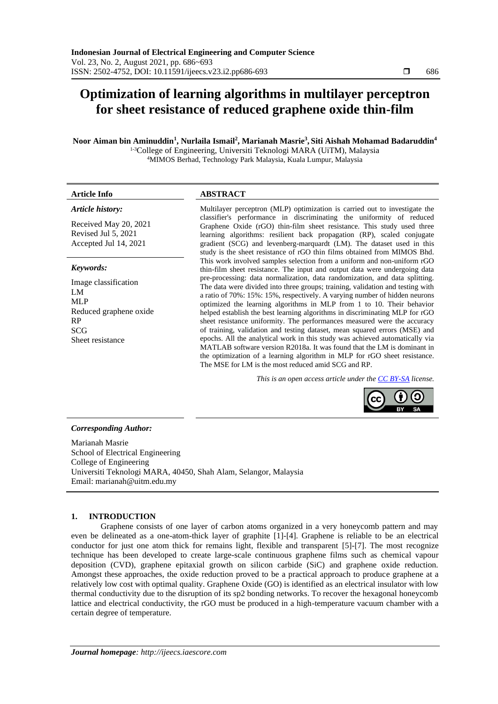## **Optimization of learning algorithms in multilayer perceptron for sheet resistance of reduced graphene oxide thin-film**

**Noor Aiman bin Aminuddin<sup>1</sup> , Nurlaila Ismail<sup>2</sup> , Marianah Masrie<sup>3</sup> , Siti Aishah Mohamad Badaruddin<sup>4</sup>**

1-3College of Engineering, Universiti Teknologi MARA (UiTM), Malaysia <sup>4</sup>MIMOS Berhad, Technology Park Malaysia, Kuala Lumpur, Malaysia

# **Article Info ABSTRACT**

#### *Article history:*

Received May 20, 2021 Revised Jul 5, 2021 Accepted Jul 14, 2021

### *Keywords:*

Image classification LM ML<sub>P</sub> Reduced graphene oxide RP SCG Sheet resistance

Multilayer perceptron (MLP) optimization is carried out to investigate the classifier's performance in discriminating the uniformity of reduced Graphene Oxide (rGO) thin-film sheet resistance. This study used three learning algorithms: resilient back propagation (RP), scaled conjugate gradient (SCG) and levenberg-marquardt (LM). The dataset used in this study is the sheet resistance of rGO thin films obtained from MIMOS Bhd. This work involved samples selection from a uniform and non-uniform rGO thin-film sheet resistance. The input and output data were undergoing data pre-processing: data normalization, data randomization, and data splitting. The data were divided into three groups; training, validation and testing with a ratio of 70%: 15%: 15%, respectively. A varying number of hidden neurons optimized the learning algorithms in MLP from 1 to 10. Their behavior helped establish the best learning algorithms in discriminating MLP for rGO sheet resistance uniformity. The performances measured were the accuracy of training, validation and testing dataset, mean squared errors (MSE) and epochs. All the analytical work in this study was achieved automatically via MATLAB software version R2018a. It was found that the LM is dominant in the optimization of a learning algorithm in MLP for rGO sheet resistance. The MSE for LM is the most reduced amid SCG and RP.

*This is an open access article under the [CC BY-SA](https://creativecommons.org/licenses/by-sa/4.0/) license.*

### *Corresponding Author:*

Marianah Masrie School of Electrical Engineering College of Engineering Universiti Teknologi MARA, 40450, Shah Alam, Selangor, Malaysia Email: marianah@uitm.edu.my

### **1. INTRODUCTION**

Graphene consists of one layer of carbon atoms organized in a very honeycomb pattern and may even be delineated as a one-atom-thick layer of graphite [1]-[4]. Graphene is reliable to be an electrical conductor for just one atom thick for remains light, flexible and transparent [5]-[7]. The most recognize technique has been developed to create large-scale continuous graphene films such as chemical vapour deposition (CVD), graphene epitaxial growth on silicon carbide (SiC) and graphene oxide reduction. Amongst these approaches, the oxide reduction proved to be a practical approach to produce graphene at a relatively low cost with optimal quality. Graphene Oxide (GO) is identified as an electrical insulator with low thermal conductivity due to the disruption of its sp2 bonding networks. To recover the hexagonal honeycomb lattice and electrical conductivity, the rGO must be produced in a high-temperature vacuum chamber with a certain degree of temperature.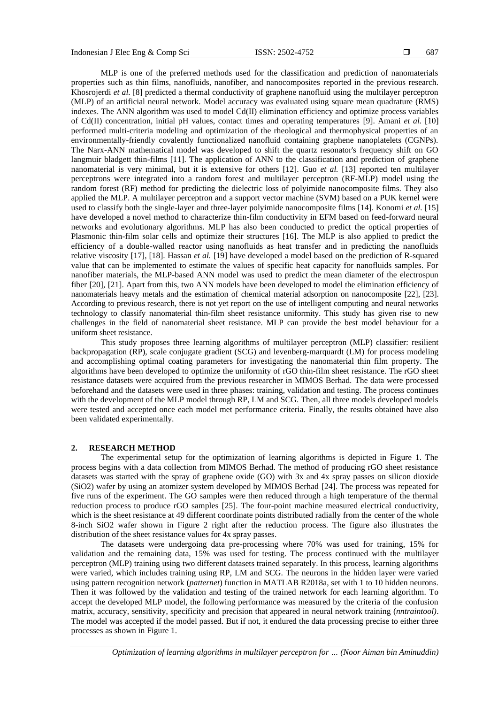MLP is one of the preferred methods used for the classification and prediction of nanomaterials properties such as thin films, nanofluids, nanofiber, and nanocomposites reported in the previous research. Khosrojerdi *et al.* [8] predicted a thermal conductivity of graphene nanofluid using the multilayer perceptron (MLP) of an artificial neural network. Model accuracy was evaluated using square mean quadrature (RMS) indexes. The ANN algorithm was used to model Cd(II) elimination efficiency and optimize process variables of Cd(II) concentration, initial pH values, contact times and operating temperatures [9]. Amani *et al.* [10] performed multi-criteria modeling and optimization of the rheological and thermophysical properties of an environmentally-friendly covalently functionalized nanofluid containing graphene nanoplatelets (CGNPs). The Narx-ANN mathematical model was developed to shift the quartz resonator's frequency shift on GO langmuir bladgett thin-films [11]. The application of ANN to the classification and prediction of graphene nanomaterial is very minimal, but it is extensive for others [12]. Guo *et al.* [13] reported ten multilayer perceptrons were integrated into a random forest and multilayer perceptron (RF-MLP) model using the random forest (RF) method for predicting the dielectric loss of polyimide nanocomposite films. They also applied the MLP. A multilayer perceptron and a support vector machine (SVM) based on a PUK kernel were used to classify both the single-layer and three-layer polyimide nanocomposite films [14]. Konomi *et al.* [15] have developed a novel method to characterize thin-film conductivity in EFM based on feed-forward neural networks and evolutionary algorithms. MLP has also been conducted to predict the optical properties of Plasmonic thin-film solar cells and optimize their structures [16]. The MLP is also applied to predict the efficiency of a double-walled reactor using nanofluids as heat transfer and in predicting the nanofluids relative viscosity [17], [18]. Hassan *et al.* [19] have developed a model based on the prediction of R-squared value that can be implemented to estimate the values of specific heat capacity for nanofluids samples. For nanofiber materials, the MLP-based ANN model was used to predict the mean diameter of the electrospun fiber [20], [21]. Apart from this, two ANN models have been developed to model the elimination efficiency of nanomaterials heavy metals and the estimation of chemical material adsorption on nanocomposite [22], [23]. According to previous research, there is not yet report on the use of intelligent computing and neural networks technology to classify nanomaterial thin-film sheet resistance uniformity. This study has given rise to new challenges in the field of nanomaterial sheet resistance. MLP can provide the best model behaviour for a uniform sheet resistance.

This study proposes three learning algorithms of multilayer perceptron (MLP) classifier: resilient backpropagation (RP), scale conjugate gradient (SCG) and levenberg-marquardt (LM) for process modeling and accomplishing optimal coating parameters for investigating the nanomaterial thin film property. The algorithms have been developed to optimize the uniformity of rGO thin-film sheet resistance. The rGO sheet resistance datasets were acquired from the previous researcher in MIMOS Berhad. The data were processed beforehand and the datasets were used in three phases: training, validation and testing. The process continues with the development of the MLP model through RP, LM and SCG. Then, all three models developed models were tested and accepted once each model met performance criteria. Finally, the results obtained have also been validated experimentally.

#### **2. RESEARCH METHOD**

The experimental setup for the optimization of learning algorithms is depicted in Figure 1. The process begins with a data collection from MIMOS Berhad. The method of producing rGO sheet resistance datasets was started with the spray of graphene oxide (GO) with 3x and 4x spray passes on silicon dioxide (SiO2) wafer by using an atomizer system developed by MIMOS Berhad [24]. The process was repeated for five runs of the experiment. The GO samples were then reduced through a high temperature of the thermal reduction process to produce rGO samples [25]. The four-point machine measured electrical conductivity, which is the sheet resistance at 49 different coordinate points distributed radially from the center of the whole 8-inch SiO2 wafer shown in Figure 2 right after the reduction process. The figure also illustrates the distribution of the sheet resistance values for 4x spray passes.

The datasets were undergoing data pre-processing where 70% was used for training, 15% for validation and the remaining data, 15% was used for testing. The process continued with the multilayer perceptron (MLP) training using two different datasets trained separately. In this process, learning algorithms were varied, which includes training using RP, LM and SCG. The neurons in the hidden layer were varied using pattern recognition network (*patternet*) function in MATLAB R2018a, set with 1 to 10 hidden neurons. Then it was followed by the validation and testing of the trained network for each learning algorithm. To accept the developed MLP model, the following performance was measured by the criteria of the confusion matrix, accuracy, sensitivity, specificity and precision that appeared in neural network training (*nntraintool)*. The model was accepted if the model passed. But if not, it endured the data processing precise to either three processes as shown in Figure 1.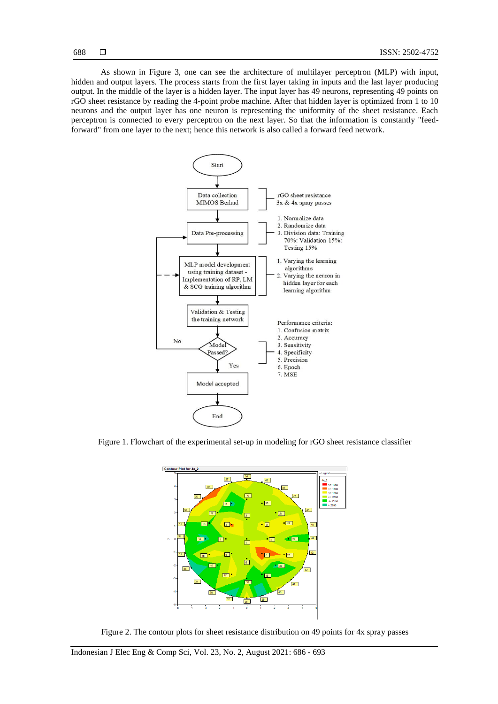688

As shown in Figure 3, one can see the architecture of multilayer perceptron (MLP) with input, hidden and output layers. The process starts from the first layer taking in inputs and the last layer producing output. In the middle of the layer is a hidden layer. The input layer has 49 neurons, representing 49 points on rGO sheet resistance by reading the 4-point probe machine. After that hidden layer is optimized from 1 to 10 neurons and the output layer has one neuron is representing the uniformity of the sheet resistance. Each perceptron is connected to every perceptron on the next layer. So that the information is constantly "feedforward" from one layer to the next; hence this network is also called a forward feed network.



Figure 1. Flowchart of the experimental set-up in modeling for rGO sheet resistance classifier



Figure 2. The contour plots for sheet resistance distribution on 49 points for 4x spray passes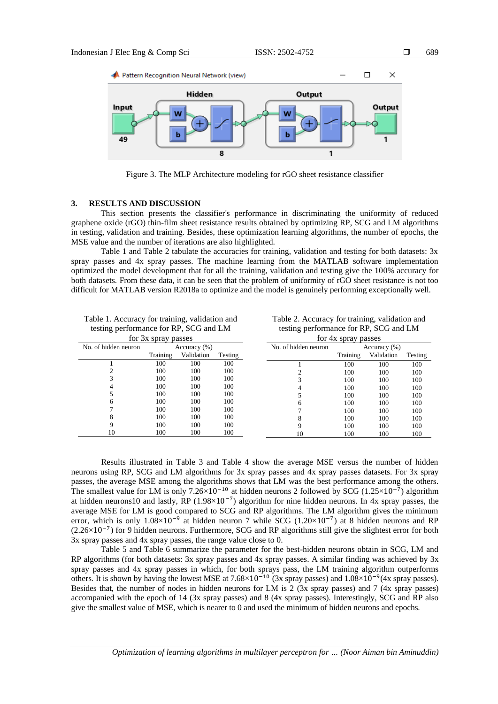

Figure 3. The MLP Architecture modeling for rGO sheet resistance classifier

### **3. RESULTS AND DISCUSSION**

This section presents the classifier's performance in discriminating the uniformity of reduced graphene oxide (rGO) thin-film sheet resistance results obtained by optimizing RP, SCG and LM algorithms in testing, validation and training. Besides, these optimization learning algorithms, the number of epochs, the MSE value and the number of iterations are also highlighted.

Table 1 and Table 2 tabulate the accuracies for training, validation and testing for both datasets: 3x spray passes and 4x spray passes. The machine learning from the MATLAB software implementation optimized the model development that for all the training, validation and testing give the 100% accuracy for both datasets. From these data, it can be seen that the problem of uniformity of rGO sheet resistance is not too difficult for MATLAB version R2018a to optimize and the model is genuinely performing exceptionally well.

| Table 1. Accuracy for training, validation and |  |
|------------------------------------------------|--|
| testing performance for RP, SCG and LM         |  |

Table 2. Accuracy for training, validation and testing performance for RP, SCG and LM

| for 3x spray passes  |          |              |         | for 4x spray passes  |          |              |         |
|----------------------|----------|--------------|---------|----------------------|----------|--------------|---------|
| No. of hidden neuron |          | Accuracy (%) |         | No. of hidden neuron |          | Accuracy (%) |         |
|                      | Training | Validation   | Testing |                      | Training | Validation   | Testing |
|                      | 100      | 100          | 100     |                      | 100      | 100          | 100     |
|                      | 100      | 100          | 100     |                      | 100      | 100          | 100     |
|                      | 100      | 100          | 100     |                      | 100      | 100          | 100     |
|                      | 100      | 100          | 100     |                      | 100      | 100          | 100     |
|                      | 100      | 100          | 100     |                      | 100      | 100          | 100     |
| 6                    | 100      | 100          | 100     | h                    | 100      | 100          | 100     |
|                      | 100      | 100          | 100     |                      | 100      | 100          | 100     |
| 8                    | 100      | 100          | 100     |                      | 100      | 100          | 100     |
|                      | 100      | 100          | 100     | Q                    | 100      | 100          | 100     |
| 10                   | 100      | 100          | 100     | 10                   | 100      | 100          | 100     |

Results illustrated in Table 3 and Table 4 show the average MSE versus the number of hidden neurons using RP, SCG and LM algorithms for 3x spray passes and 4x spray passes datasets. For 3x spray passes, the average MSE among the algorithms shows that LM was the best performance among the others. The smallest value for LM is only  $7.26 \times 10^{-10}$  at hidden neurons 2 followed by SCG (1.25×10<sup>-7</sup>) algorithm at hidden neurons10 and lastly, RP ( $1.98 \times 10^{-7}$ ) algorithm for nine hidden neurons. In 4x spray passes, the average MSE for LM is good compared to SCG and RP algorithms. The LM algorithm gives the minimum error, which is only 1.08×10<sup>-9</sup> at hidden neuron 7 while SCG (1.20×10<sup>-7</sup>) at 8 hidden neurons and RP (2.26×10−7 ) for 9 hidden neurons. Furthermore, SCG and RP algorithms still give the slightest error for both 3x spray passes and 4x spray passes, the range value close to 0.

Table 5 and Table 6 summarize the parameter for the best-hidden neurons obtain in SCG, LM and RP algorithms (for both datasets: 3x spray passes and 4x spray passes. A similar finding was achieved by 3x spray passes and 4x spray passes in which, for both sprays pass, the LM training algorithm outperforms others. It is shown by having the lowest MSE at  $7.68 \times 10^{-10}$  (3x spray passes) and  $1.08 \times 10^{-9}$ (4x spray passes). Besides that, the number of nodes in hidden neurons for LM is 2 (3x spray passes) and 7 (4x spray passes) accompanied with the epoch of 14 (3x spray passes) and 8 (4x spray passes). Interestingly, SCG and RP also give the smallest value of MSE, which is nearer to 0 and used the minimum of hidden neurons and epochs.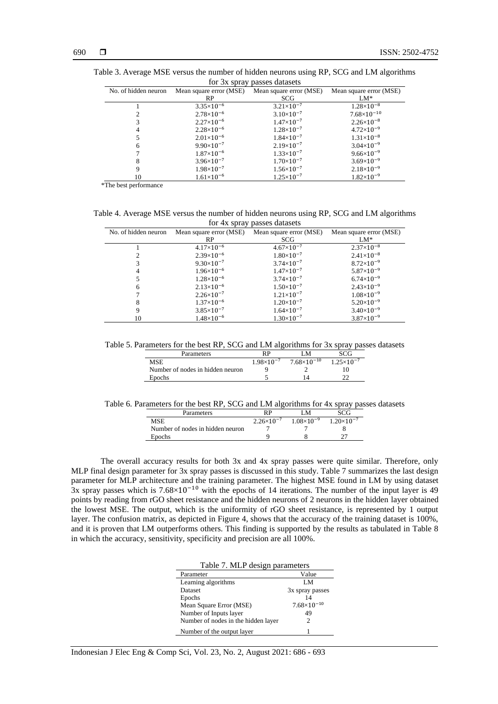| TOI JA SPIAY PASSES UALASELS |                         |                         |                         |  |  |
|------------------------------|-------------------------|-------------------------|-------------------------|--|--|
| No. of hidden neuron         | Mean square error (MSE) | Mean square error (MSE) | Mean square error (MSE) |  |  |
|                              | RP                      | SCG                     | $LM^*$                  |  |  |
|                              | $3.35\times10^{-6}$     | $3.21 \times 10^{-7}$   | $1.28\times10^{-8}$     |  |  |
|                              | $2.78\times10^{-6}$     | $3.10\times10^{-7}$     | $7.68\times10^{-10}$    |  |  |
| 3                            | $2.27\times10^{-6}$     | $1.47\times10^{-7}$     | $2.26 \times 10^{-8}$   |  |  |
| 4                            | $2.28\times10^{-6}$     | $1.28\times10^{-7}$     | $4.72\times10^{-9}$     |  |  |
|                              | $2.01\times10^{-6}$     | $1.84\times10^{-7}$     | $1.31\times10^{-8}$     |  |  |
| 6                            | $9.90\times10^{-7}$     | $2.19\times10^{-7}$     | $3.04\times10^{-9}$     |  |  |
|                              | $1.87\times10^{-6}$     | $1.33\times10^{-7}$     | $9.66 \times 10^{-9}$   |  |  |
| 8                            | $3.96 \times 10^{-7}$   | $1.70\times10^{-7}$     | $3.69\times10^{-9}$     |  |  |
| 9                            | $1.98 \times 10^{-7}$   | $1.56 \times 10^{-7}$   | $2.18 \times 10^{-9}$   |  |  |
| 10                           | $1.61\times10^{-6}$     | $1.25\times10^{-7}$     | $1.82\times10^{-9}$     |  |  |

Table 3. Average MSE versus the number of hidden neurons using RP, SCG and LM algorithms for 3x spray passes datasets

\*The best performance

Table 4. Average MSE versus the number of hidden neurons using RP, SCG and LM algorithms for 4x spray passes datasets l.

| No. of hidden neuron | Mean square error (MSE) | Mean square error (MSE) | Mean square error (MSE) |
|----------------------|-------------------------|-------------------------|-------------------------|
|                      | RP                      | SCG                     | $LM^*$                  |
|                      | $4.17\times10^{-6}$     | $4.67\times10^{-7}$     | $2.37\times10^{-8}$     |
|                      | $2.39\times10^{-6}$     | $1.80\times10^{-7}$     | $2.41\times10^{-8}$     |
|                      | $9.30\times10^{-7}$     | $3.74\times10^{-7}$     | $8.72\times10^{-9}$     |
| 4                    | $1.96\times10^{-6}$     | $1.47\times10^{-7}$     | $5.87\times10^{-9}$     |
|                      | $1.28\times10^{-6}$     | $3.74\times10^{-7}$     | $6.74\times10^{-9}$     |
| 6                    | $2.13\times10^{-6}$     | $1.50\times10^{-7}$     | $2.43\times10^{-9}$     |
|                      | $2.26\times10^{-7}$     | $1.21\times10^{-7}$     | $1.08\times10^{-9}$     |
| 8                    | $1.37\times10^{-6}$     | $1.20\times10^{-7}$     | $5.20\times10^{-9}$     |
| 9                    | $3.85 \times 10^{-7}$   | $1.64\times10^{-7}$     | $3.40\times10^{-9}$     |
| 10                   | $1.48\times10^{-6}$     | $1.30\times10^{-7}$     | $3.87\times10^{-9}$     |

Table 5. Parameters for the best RP, SCG and LM algorithms for 3x spray passes datasets

| <b>Parameters</b>                |                       | 'N                   |                       |
|----------------------------------|-----------------------|----------------------|-----------------------|
| MSE                              | $1.98 \times 10^{-7}$ | $7.68\times10^{-10}$ | $1.25 \times 10^{-7}$ |
| Number of nodes in hidden neuron |                       |                      |                       |
| Epochs                           |                       |                      |                       |

Table 6. Parameters for the best RP, SCG and LM algorithms for 4x spray passes datasets

| Parameters                       | RP                  | LМ                  |                     |
|----------------------------------|---------------------|---------------------|---------------------|
| MSE                              | $2.26\times10^{-7}$ | $1.08\times10^{-9}$ | $1.20\times10^{-7}$ |
| Number of nodes in hidden neuron |                     |                     |                     |
| Epochs                           |                     |                     |                     |

The overall accuracy results for both 3x and 4x spray passes were quite similar. Therefore, only MLP final design parameter for 3x spray passes is discussed in this study. Table 7 summarizes the last design parameter for MLP architecture and the training parameter. The highest MSE found in LM by using dataset  $\frac{3x}{3x}$  spray passes which is 7.68×10<sup>-10</sup> with the epochs of 14 iterations. The number of the input layer is 49 points by reading from rGO sheet resistance and the hidden neurons of 2 neurons in the hidden layer obtained the lowest MSE. The output, which is the uniformity of rGO sheet resistance, is represented by 1 output layer. The confusion matrix, as depicted in Figure 4, shows that the accuracy of the training dataset is 100%, and it is proven that LM outperforms others. This finding is supported by the results as tabulated in Table 8 in which the accuracy, sensitivity, specificity and precision are all 100%.

| Table 7. MLP design parameters      |                             |  |  |
|-------------------------------------|-----------------------------|--|--|
| Parameter                           | Value                       |  |  |
| Learning algorithms                 | LM                          |  |  |
| <b>Dataset</b>                      | 3x spray passes             |  |  |
| Epochs                              | 14                          |  |  |
| Mean Square Error (MSE)             | $7.68\times10^{-10}$        |  |  |
| Number of Inputs layer              | 49                          |  |  |
| Number of nodes in the hidden layer | $\mathcal{D}_{\mathcal{L}}$ |  |  |
| Number of the output layer          |                             |  |  |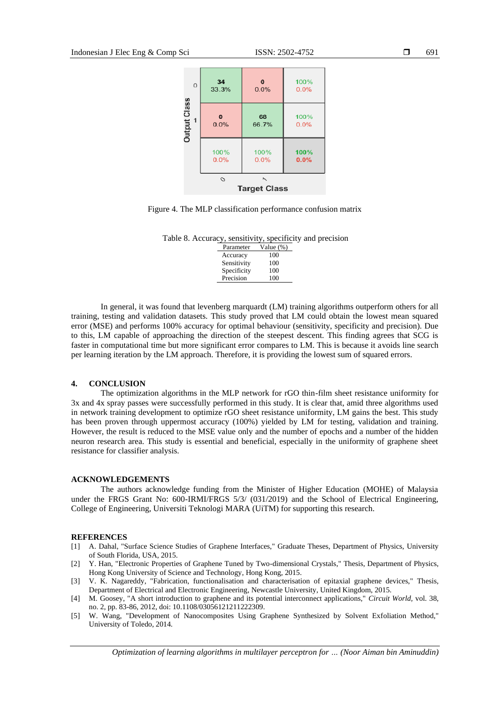| $\mathbf 0$  | 34       | $\bf{0}$                                        | 100% |
|--------------|----------|-------------------------------------------------|------|
|              | 33.3%    | 0.0%                                            | 0.0% |
| Output Class | $\bf{0}$ | 68                                              | 100% |
| -1           | 0.0%     | 66.7%                                           | 0.0% |
|              | 100%     | 100%                                            | 100% |
|              | 0.0%     | 0.0%                                            | 0.0% |
|              | O        | $\overline{\phantom{a}}$<br><b>Target Class</b> |      |



Table 8. Accuracy, sensitivity, specificity and precision

| Parameter   | Value (%) |
|-------------|-----------|
| Accuracy    | 100       |
| Sensitivity | 100       |
| Specificity | 100       |
| Precision   | 100       |
|             |           |

In general, it was found that levenberg marquardt (LM) training algorithms outperform others for all training, testing and validation datasets. This study proved that LM could obtain the lowest mean squared error (MSE) and performs 100% accuracy for optimal behaviour (sensitivity, specificity and precision). Due to this, LM capable of approaching the direction of the steepest descent. This finding agrees that SCG is faster in computational time but more significant error compares to LM. This is because it avoids line search per learning iteration by the LM approach. Therefore, it is providing the lowest sum of squared errors.

#### **4. CONCLUSION**

The optimization algorithms in the MLP network for rGO thin-film sheet resistance uniformity for 3x and 4x spray passes were successfully performed in this study. It is clear that, amid three algorithms used in network training development to optimize rGO sheet resistance uniformity, LM gains the best. This study has been proven through uppermost accuracy (100%) yielded by LM for testing, validation and training. However, the result is reduced to the MSE value only and the number of epochs and a number of the hidden neuron research area. This study is essential and beneficial, especially in the uniformity of graphene sheet resistance for classifier analysis.

#### **ACKNOWLEDGEMENTS**

The authors acknowledge funding from the Minister of Higher Education (MOHE) of Malaysia under the FRGS Grant No: 600-IRMI/FRGS 5/3/ (031/2019) and the School of Electrical Engineering, College of Engineering, Universiti Teknologi MARA (UiTM) for supporting this research.

#### **REFERENCES**

- [1] A. Dahal, "Surface Science Studies of Graphene Interfaces," Graduate Theses, Department of Physics, University of South Florida, USA, 2015.
- [2] Y. Han, "Electronic Properties of Graphene Tuned by Two-dimensional Crystals," Thesis, Department of Physics, Hong Kong University of Science and Technology, Hong Kong, 2015.
- [3] V. K. Nagareddy, "Fabrication, functionalisation and characterisation of epitaxial graphene devices," Thesis, Department of Electrical and Electronic Engineering, Newcastle University, United Kingdom, 2015.
- [4] M. Goosey, "A short introduction to graphene and its potential interconnect applications," *Circuit World,* vol. 38, no. 2, pp. 83-86, 2012, doi: 10.1108/03056121211222309.
- [5] W. Wang, "Development of Nanocomposites Using Graphene Synthesized by Solvent Exfoliation Method," University of Toledo, 2014.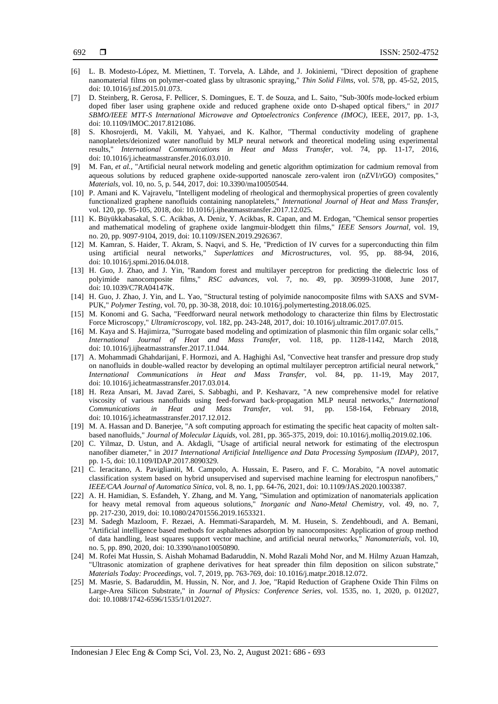- [6] L. B. Modesto-López, M. Miettinen, T. Torvela, A. Lähde, and J. Jokiniemi, "Direct deposition of graphene nanomaterial films on polymer-coated glass by ultrasonic spraying," *Thin Solid Films,* vol. 578, pp. 45-52, 2015, doi[: 10.1016/j.tsf.2015.01.073.](https://doi.org/10.1016/j.tsf.2015.01.073)
- [7] D. Steinberg, R. Gerosa, F. Pellicer, S. Domingues, E. T. de Souza, and L. Saito, "Sub-300fs mode-locked erbium doped fiber laser using graphene oxide and reduced graphene oxide onto D-shaped optical fibers," in *2017 SBMO/IEEE MTT-S International Microwave and Optoelectronics Conference (IMOC)*, IEEE, 2017, pp. 1-3, doi: 10.1109/IMOC.2017.8121086.
- [8] S. Khosrojerdi, M. Vakili, M. Yahyaei, and K. Kalhor, "Thermal conductivity modeling of graphene nanoplatelets/deionized water nanofluid by MLP neural network and theoretical modeling using experimental results," *International Communications in Heat and Mass Transfer,* vol. 74, pp. 11-17, 2016, doi[: 10.1016/j.icheatmasstransfer.2016.03.010.](https://doi.org/10.1016/j.icheatmasstransfer.2016.03.010)
- [9] M. Fan, *et al.*, "Artificial neural network modeling and genetic algorithm optimization for cadmium removal from aqueous solutions by reduced graphene oxide-supported nanoscale zero-valent iron (nZVI/rGO) composites," *Materials,* vol. 10, no. 5, p. 544, 2017, doi: 10.3390/ma10050544.
- [10] P. Amani and K. Vajravelu, "Intelligent modeling of rheological and thermophysical properties of green covalently functionalized graphene nanofluids containing nanoplatelets," *International Journal of Heat and Mass Transfer,*  vol. 120, pp. 95-105, 2018, doi: 10.1016/j.ijheatmasstransfer.2017.12.025.
- [11] K. Büyükkabasakal, S. C. Acikbas, A. Deniz, Y. Acikbas, R. Capan, and M. Erdogan, "Chemical sensor properties and mathematical modeling of graphene oxide langmuir-blodgett thin films," *IEEE Sensors Journal,* vol. 19, no. 20, pp. 9097-9104, 2019, doi: 10.1109/JSEN.2019.2926367.
- [12] M. Kamran, S. Haider, T. Akram, S. Naqvi, and S. He, "Prediction of IV curves for a superconducting thin film using artificial neural networks," *Superlattices and Microstructures,* vol. 95, pp. 88-94, 2016, doi: 10.1016/j.spmi.2016.04.018.
- [13] H. Guo, J. Zhao, and J. Yin, "Random forest and multilayer perceptron for predicting the dielectric loss of polyimide nanocomposite films," *RSC advances,* vol. 7, no. 49, pp. 30999-31008, June 2017, doi: 10.1039/C7RA04147K.
- [14] H. Guo, J. Zhao, J. Yin, and L. Yao, "Structural testing of polyimide nanocomposite films with SAXS and SVM-PUK," *Polymer Testing,* vol. 70, pp. 30-38, 2018, doi: 10.1016/j.polymertesting.2018.06.025.
- [15] M. Konomi and G. Sacha, "Feedforward neural network methodology to characterize thin films by Electrostatic Force Microscopy," *Ultramicroscopy,* vol. 182, pp. 243-248, 2017, doi: 10.1016/j.ultramic.2017.07.015.
- [16] M. Kaya and S. Hajimirza, "Surrogate based modeling and optimization of plasmonic thin film organic solar cells," *International Journal of Heat and Mass Transfer,* vol. 118, pp. 1128-1142, March 2018, doi: 10.1016/j.ijheatmasstransfer.2017.11.044.
- [17] A. Mohammadi Ghahdarijani, F. Hormozi, and A. Haghighi Asl, "Convective heat transfer and pressure drop study on nanofluids in double-walled reactor by developing an optimal multilayer perceptron artificial neural network," *International Communications in Heat and Mass Transfer,* vol. 84, pp. 11-19, May 2017, doi: 10.1016/j.icheatmasstransfer.2017.03.014.
- [18] H. Reza Ansari, M. Javad Zarei, S. Sabbaghi, and P. Keshavarz, "A new comprehensive model for relative viscosity of various nanofluids using feed-forward back-propagation MLP neural networks," *International Communications in Heat and Mass Transfer,* vol. 91, pp. 158-164, February 2018, doi[: 10.1016/j.icheatmasstransfer.2017.12.012.](https://doi.org/10.1016/j.icheatmasstransfer.2017.12.012)
- [19] M. A. Hassan and D. Banerjee, "A soft computing approach for estimating the specific heat capacity of molten saltbased nanofluids," *Journal of Molecular Liquids,* vol. 281, pp. 365-375, 2019, doi[: 10.1016/j.molliq.2019.02.106.](https://doi.org/10.1016/j.molliq.2019.02.106)
- [20] C. Yilmaz, D. Ustun, and A. Akdagli, "Usage of artificial neural network for estimating of the electrospun nanofiber diameter," in *2017 International Artificial Intelligence and Data Processing Symposium (IDAP)*, 2017, pp. 1-5, doi: 10.1109/IDAP.2017.8090329.
- [21] C. Ieracitano, A. Paviglianiti, M. Campolo, A. Hussain, E. Pasero, and F. C. Morabito, "A novel automatic classification system based on hybrid unsupervised and supervised machine learning for electrospun nanofibers," *IEEE/CAA Journal of Automatica Sinica,* vol. 8, no. 1, pp. 64-76, 2021, doi: 10.1109/JAS.2020.1003387.
- [22] A. H. Hamidian, S. Esfandeh, Y. Zhang, and M. Yang, "Simulation and optimization of nanomaterials application for heavy metal removal from aqueous solutions," *Inorganic and Nano-Metal Chemistry,* vol. 49, no. 7, pp. 217-230, 2019, doi: 10.1080/24701556.2019.1653321.
- [23] M. Sadegh Mazloom, F. Rezaei, A. Hemmati-Sarapardeh, M. M. Husein, S. Zendehboudi, and A. Bemani, "Artificial intelligence based methods for asphaltenes adsorption by nanocomposites: Application of group method of data handling, least squares support vector machine, and artificial neural networks," *Nanomaterials,* vol. 10, no. 5, pp. 890, 2020, doi: 10.3390/nano10050890.
- [24] M. Rofei Mat Hussin, S. Aishah Mohamad Badaruddin, N. Mohd Razali Mohd Nor, and M. Hilmy Azuan Hamzah, "Ultrasonic atomization of graphene derivatives for heat spreader thin film deposition on silicon substrate," *Materials Today: Proceedings,* vol. 7, 2019, pp. 763-769, doi: 10.1016/j.matpr.2018.12.072.
- [25] M. Masrie, S. Badaruddin, M. Hussin, N. Nor, and J. Joe, "Rapid Reduction of Graphene Oxide Thin Films on Large-Area Silicon Substrate," in *Journal of Physics: Conference Series*, vol. 1535, no. 1, 2020, p. 012027, doi: 10.1088/1742-6596/1535/1/012027.